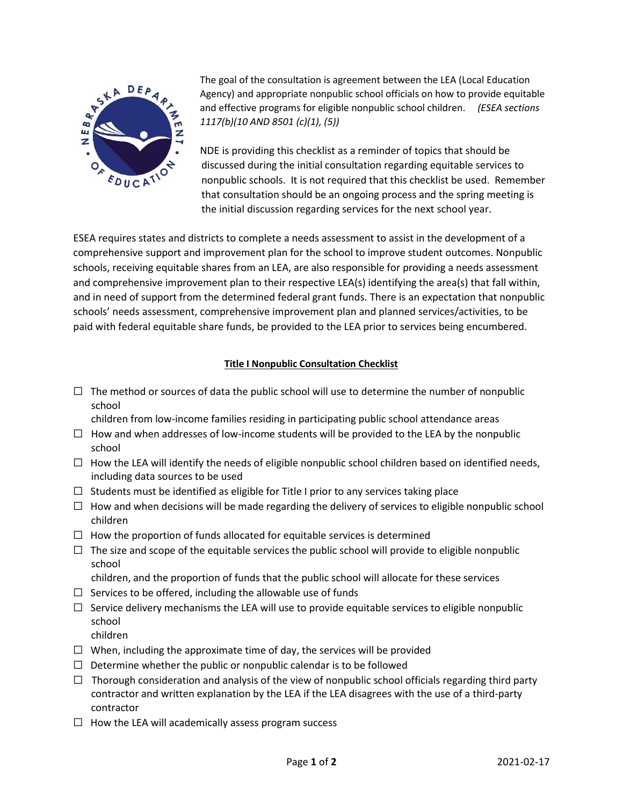

The goal of the consultation is agreement between the LEA (Local Education Agency) and appropriate nonpublic school officials on how to provide equitable and effective programs for eligible nonpublic school children. *(ESEA sections 1117(b)(10 AND 8501 (c)(1), (5))*

NDE is providing this checklist as a reminder of topics that should be discussed during the initial consultation regarding equitable services to nonpublic schools. It is not required that this checklist be used. Remember that consultation should be an ongoing process and the spring meeting is the initial discussion regarding services for the next school year.

ESEA requires states and districts to complete a needs assessment to assist in the development of a comprehensive support and improvement plan for the school to improve student outcomes. Nonpublic schools, receiving equitable shares from an LEA, are also responsible for providing a needs assessment and comprehensive improvement plan to their respective LEA(s) identifying the area(s) that fall within, and in need of support from the determined federal grant funds. There is an expectation that nonpublic schools' needs assessment, comprehensive improvement plan and planned services/activities, to be paid with federal equitable share funds, be provided to the LEA prior to services being encumbered.

## **Title I Nonpublic Consultation Checklist**

 $\Box$  The method or sources of data the public school will use to determine the number of nonpublic school

children from low-income families residing in participating public school attendance areas

- $\Box$  How and when addresses of low-income students will be provided to the LEA by the nonpublic school
- $\Box$  How the LEA will identify the needs of eligible nonpublic school children based on identified needs, including data sources to be used
- $\Box$  Students must be identified as eligible for Title I prior to any services taking place
- $\Box$  How and when decisions will be made regarding the delivery of services to eligible nonpublic school children
- $\Box$  How the proportion of funds allocated for equitable services is determined
- $\Box$  The size and scope of the equitable services the public school will provide to eligible nonpublic school
	- children, and the proportion of funds that the public school will allocate for these services
- $\Box$  Services to be offered, including the allowable use of funds
- $\Box$  Service delivery mechanisms the LEA will use to provide equitable services to eligible nonpublic school children
- $\Box$  When, including the approximate time of day, the services will be provided
- $\Box$  Determine whether the public or nonpublic calendar is to be followed
- $\Box$  Thorough consideration and analysis of the view of nonpublic school officials regarding third party contractor and written explanation by the LEA if the LEA disagrees with the use of a third-party contractor
- $\Box$  How the LEA will academically assess program success